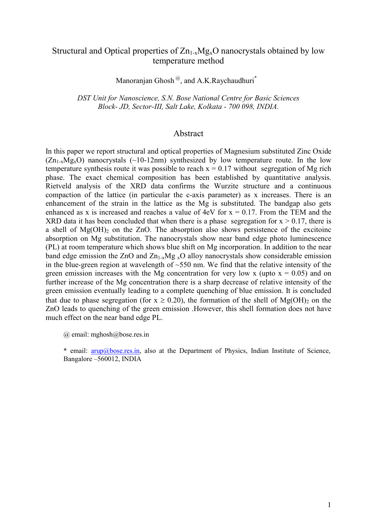# Structural and Optical properties of  $Zn_{1-x}Mg_xO$  nanocrystals obtained by low temperature method

Manoranian Ghosh<sup>@</sup>, and A.K.Raychaudhuri<sup>\*</sup>

DST Unit for Nanoscience, S.N. Bose National Centre for Basic Sciences *Block- JD, Sector-III, Salt Lake, Kolkata - 700 098, IDIA.* 

## Abstract

In this paper we report structural and optical properties of Magnesium substituted Zinc Oxide  $(Zn_{1-x}Mg_xO)$  nanocrystals (~10-12nm) synthesized by low temperature route. In the low temperature synthesis route it was possible to reach  $x = 0.17$  without segregation of Mg rich phase. The exact chemical composition has been established by quantitative analysis. Rietveld analysis of the XRD data confirms the Wurzite structure and a continuous compaction of the lattice (in particular the c-axis parameter) as x increases. There is an enhancement of the strain in the lattice as the Mg is substituted. The bandgap also gets enhanced as x is increased and reaches a value of  $4eV$  for  $x = 0.17$ . From the TEM and the XRD data it has been concluded that when there is a phase segregation for  $x > 0.17$ , there is a shell of  $Mg(OH)$ <sub>2</sub> on the ZnO. The absorption also shows persistence of the excitoinc absorption on Mg substitution. The nanocrystals show near band edge photo luminescence (PL) at room temperature which shows blue shift on Mg incorporation. In addition to the near band edge emission the ZnO and  $Zn_{1-x}Mg_{x}O$  alloy nanocrystals show considerable emission in the blue-green region at wavelength of  $\sim$ 550 nm. We find that the relative intensity of the green emission increases with the Mg concentration for very low x (upto  $x = 0.05$ ) and on further increase of the Mg concentration there is a sharp decrease of relative intensity of the green emission eventually leading to a complete quenching of blue emission. It is concluded that due to phase segregation (for  $x \ge 0.20$ ), the formation of the shell of Mg(OH)<sub>2</sub> on the ZnO leads to quenching of the green emission .However, this shell formation does not have much effect on the near band edge PL.

@ email: mghosh@bose.res.in

\* email: arup@bose.res.in, also at the Department of Physics, Indian Institute of Science, Bangalore –560012, INDIA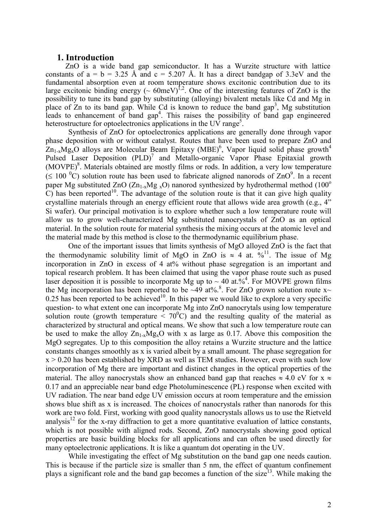### **1. Introduction**

ZnO is a wide band gap semiconductor. It has a Wurzite structure with lattice constants of  $a = b = 3.25$  Å and  $c = 5.207$  Å. It has a direct bandgap of 3.3eV and the fundamental absorption even at room temperature shows excitonic contribution due to its large excitonic binding energy ( $\sim 60$ meV)<sup>1,2</sup>. One of the interesting features of ZnO is the possibility to tune its band gap by substituting (alloying) bivalent metals like Cd and Mg in place of  $\overline{Z}$ n to its band gap. While Cd is known to reduce the band gap<sup>3</sup>, Mg substitution leads to enhancement of band gap<sup>4</sup>. This raises the possibility of band gap engineered heterostructure for optoelectronics applications in the UV range<sup>5</sup>.

Synthesis of ZnO for optoelectronics applications are generally done through vapor phase deposition with or without catalyst. Routes that have been used to prepare ZnO and  $Zn_{1-x}Mg_xO$  alloys are Molecular Beam Epitaxy (MBE)<sup>6</sup>, Vapor liquid solid phase growth<sup>4</sup> Pulsed Laser Deposition  $(PLD)^7$  and Metallo-organic Vapor Phase Epitaxial growth (MOVPE)<sup>8</sup>. Materials obtained are mostly films or rods. In addition, a very low temperature  $(\leq 100 \degree C)$  solution route has been used to fabricate aligned nanorods of ZnO $\degree$ . In a recent paper Mg substituted ZnO ( $\text{Zn}_{1-x}\text{Mg}_x\text{O}$ ) nanorod synthesized by hydrothermal method (100<sup>o</sup>  $\overline{C}$ ) has been reported<sup>10</sup>. The advantage of the solution route is that it can give high quality crystalline materials through an energy efficient route that allows wide area growth (e.g., 4" Si wafer). Our principal motivation is to explore whether such a low temperature route will allow us to grow well-characterized Mg substituted nanocrystals of ZnO as an optical material. In the solution route for material synthesis the mixing occurs at the atomic level and the material made by this method is close to the thermodynamic equilibrium phase.

One of the important issues that limits synthesis of MgO alloyed ZnO is the fact that the thermodynamic solubility limit of MgO in ZnO is  $\approx 4$  at. %<sup>11</sup>. The issue of Mg incorporation in ZnO in excess of 4 at% without phase segregation is an important and topical research problem. It has been claimed that using the vapor phase route such as pused laser deposition it is possible to incorporate Mg up to  $\sim$  40 at.%<sup>4</sup>. For MOVPE grown films the Mg incorporation has been reported to be  $\sim$  49 at%.<sup>8</sup>. For ZnO grown solution route x $\sim$ 0.25 has been reported to be achieved<sup>10</sup>. In this paper we would like to explore a very specific question- to what extent one can incorporate Mg into ZnO nanocrytals using low temperature solution route (growth temperature  $\langle 70^{\circ}$ C) and the resulting quality of the material as characterized by structural and optical means. We show that such a low temperature route can be used to make the alloy  $Zn_{1-x}Mg_xO$  with x as large as 0.17. Above this composition the MgO segregates. Up to this composition the alloy retains a Wurzite structure and the lattice constants changes smoothly as x is varied albeit by a small amount. The phase segregation for  $x > 0.20$  has been established by XRD as well as TEM studies. However, even with such low incorporation of Mg there are important and distinct changes in the optical properties of the material. The alloy nanocrystals show an enhanced band gap that reaches  $\approx 4.0 \text{ eV}$  for x  $\approx$ 0.17 and an appreciable near band edge Photoluminescence (PL) response when excited with UV radiation. The near band edge UV emission occurs at room temperature and the emission shows blue shift as x is increased. The choices of nanocrystals rather than nanorods for this work are two fold. First, working with good quality nanocrystals allows us to use the Rietveld analysis<sup>12</sup> for the x-ray diffraction to get a more quantitative evaluation of lattice constants, which is not possible with aligned rods. Second, ZnO nanocrystals showing good optical properties are basic building blocks for all applications and can often be used directly for many optoelectronic applications. It is like a quantum dot operating in the UV.

While investigating the effect of Mg substitution on the band gap one needs caution. This is because if the particle size is smaller than 5 nm, the effect of quantum confinement plays a significant role and the band gap becomes a function of the size<sup>13</sup>. While making the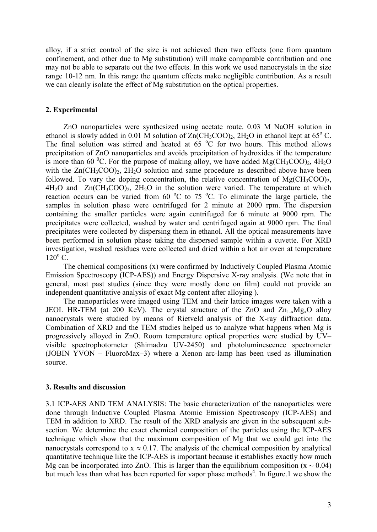alloy, if a strict control of the size is not achieved then two effects (one from quantum confinement, and other due to Mg substitution) will make comparable contribution and one may not be able to separate out the two effects. In this work we used nanocrystals in the size range 10-12 nm. In this range the quantum effects make negligible contribution. As a result we can cleanly isolate the effect of Mg substitution on the optical properties.

#### **2. Experimental**

ZnO nanoparticles were synthesized using acetate route. 0.03 M NaOH solution in ethanol is slowly added in 0.01 M solution of  $Zn(CH_3COO)_2$ ,  $2H_2O$  in ethanol kept at 65° C. The final solution was stirred and heated at  $65\degree C$  for two hours. This method allows precipitation of ZnO nanoparticles and avoids precipitation of hydroxides if the temperature is more than 60 <sup>o</sup>C. For the purpose of making alloy, we have added Mg(CH<sub>3</sub>COO)<sub>2</sub>, 4H<sub>2</sub>O with the  $Zn(CH_3COO)$ ,  $2H_2O$  solution and same procedure as described above have been followed. To vary the doping concentration, the relative concentration of  $MgCH_3COO<sub>2</sub>$ ,  $4H<sub>2</sub>O$  and  $Zn(CH<sub>3</sub>COO)<sub>2</sub>$ ,  $2H<sub>2</sub>O$  in the solution were varied. The temperature at which reaction occurs can be varied from 60  $^{\circ}$ C to 75  $^{\circ}$ C. To eliminate the large particle, the samples in solution phase were centrifuged for 2 minute at 2000 rpm. The dispersion containing the smaller particles were again centrifuged for 6 minute at 9000 rpm. The precipitates were collected, washed by water and centrifuged again at 9000 rpm. The final precipitates were collected by dispersing them in ethanol. All the optical measurements have been performed in solution phase taking the dispersed sample within a cuvette. For XRD investigation, washed residues were collected and dried within a hot air oven at temperature  $120^{\circ}$  C.

The chemical compositions (x) were confirmed by Inductively Coupled Plasma Atomic Emission Spectroscopy (ICP-AES)) and Energy Dispersive X-ray analysis. (We note that in general, most past studies (since they were mostly done on film) could not provide an independent quantitative analysis of exact Mg content after alloying ).

The nanoparticles were imaged using TEM and their lattice images were taken with a JEOL HR-TEM (at 200 KeV). The crystal structure of the ZnO and  $Zn_{1-x}Mg_xO$  alloy nanocrystals were studied by means of Rietveld analysis of the X-ray diffraction data. Combination of XRD and the TEM studies helped us to analyze what happens when Mg is progressively alloyed in ZnO. Room temperature optical properties were studied by UV– visible spectrophotometer (Shimadzu UV-2450) and photoluminescence spectrometer (JOBIN YVON – FluoroMax–3) where a Xenon arc-lamp has been used as illumination source.

## **3. Results and discussion**

3.1 ICP-AES AND TEM ANALYSIS: The basic characterization of the nanoparticles were done through Inductive Coupled Plasma Atomic Emission Spectroscopy (ICP-AES) and TEM in addition to XRD. The result of the XRD analysis are given in the subsequent subsection. We determine the exact chemical composition of the particles using the ICP-AES technique which show that the maximum composition of Mg that we could get into the nanocrystals correspond to  $x \approx 0.17$ . The analysis of the chemical composition by analytical quantitative technique like the ICP-AES is important because it establishes exactly how much Mg can be incorporated into ZnO. This is larger than the equilibrium composition ( $x \sim 0.04$ ) but much less than what has been reported for vapor phase methods<sup>4</sup>. In figure.1 we show the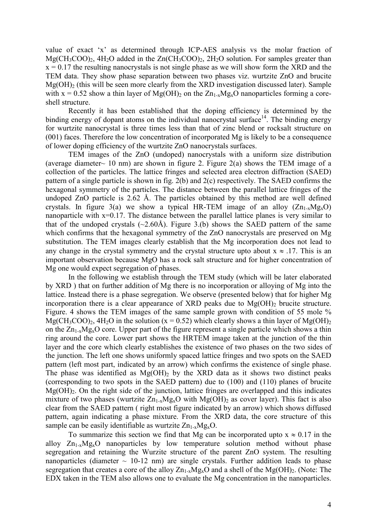value of exact 'x' as determined through ICP-AES analysis vs the molar fraction of  $Mg(CH_3COO)_2$ ,  $4H_2O$  added in the  $Zn(CH_3COO)_2$ ,  $2H_2O$  solution. For samples greater than  $x = 0.17$  the resulting nanocrystals is not single phase as we will show form the XRD and the TEM data. They show phase separation between two phases viz. wurtzite ZnO and brucite  $Mg(OH)$ <sub>2</sub> (this will be seen more clearly from the XRD investigation discussed later). Sample with  $x = 0.52$  show a thin layer of Mg(OH)<sub>2</sub> on the  $Zn_{1-x}Mg_xO$  nanoparticles forming a coreshell structure.

Recently it has been established that the doping efficiency is determined by the binding energy of dopant atoms on the individual nanocrystal surface  $14$ . The binding energy for wurtzite nanocrystal is three times less than that of zinc blend or rocksalt structure on (001) faces. Therefore the low concentration of incorporated Mg is likely to be a consequence of lower doping efficiency of the wurtzite ZnO nanocrystals surfaces.

TEM images of the ZnO (undoped) nanocrystals with a uniform size distribution (average diameter  $\sim$  10 nm) are shown in figure 2. Figure 2(a) shows the TEM image of a collection of the particles. The lattice fringes and selected area electron diffraction (SAED) pattern of a single particle is shown in fig. 2(b) and 2(c) respectively. The SAED confirms the hexagonal symmetry of the particles. The distance between the parallel lattice fringes of the undoped ZnO particle is 2.62 Å. The particles obtained by this method are well defined crystals. In figure 3(a) we show a typical HR-TEM image of an alloy  $(Zn_{1-x}Mg_xO)$ nanoparticle with x=0.17. The distance between the parallel lattice planes is very similar to that of the undoped crystals  $(\sim 2.60$ Å). Figure 3.(b) shows the SAED pattern of the same which confirms that the hexagonal symmetry of the ZnO nanocrystals are preserved on Mg substitution. The TEM images clearly establish that the Mg incorporation does not lead to any change in the crystal symmetry and the crystal structure upto about  $x \approx .17$ . This is an important observation because MgO has a rock salt structure and for higher concentration of Mg one would expect segregation of phases.

In the following we establish through the TEM study (which will be later elaborated by XRD ) that on further addition of Mg there is no incorporation or alloying of Mg into the lattice. Instead there is a phase segregation. We observe (presented below) that for higher Mg incorporation there is a clear appearance of XRD peaks due to  $Mg(OH)$ <sub>2</sub> brucite structure. Figure. 4 shows the TEM images of the same sample grown with condition of 55 mole %  $MgCH_3COO_2$ ,  $4H_2O$  in the solution (x = 0.52) which clearly shows a thin layer of Mg(OH)<sub>2</sub> on the  $Zn_1$ <sub>x</sub>Mg<sub>x</sub>O core. Upper part of the figure represent a single particle which shows a thin ring around the core. Lower part shows the HRTEM image taken at the junction of the thin layer and the core which clearly establishes the existence of two phases on the two sides of the junction. The left one shows uniformly spaced lattice fringes and two spots on the SAED pattern (left most part, indicated by an arrow) which confirms the existence of single phase. The phase was identified as  $Mg(OH)$ , by the XRD data as it shows two distinct peaks (corresponding to two spots in the SAED pattern) due to (100) and (110) planes of brucite  $Mg(OH)_{2}$ . On the right side of the junction, lattice fringes are overlapped and this indicates mixture of two phases (wurtzite  $Zn_{1-x}Mg_xO$  with  $Mg(OH)_2$  as cover layer). This fact is also clear from the SAED pattern ( right most figure indicated by an arrow) which shows diffused pattern, again indicating a phase mixture. From the XRD data, the core structure of this sample can be easily identifiable as wurtzite  $Zn_{1-x}Mg_{x}O$ .

To summarize this section we find that Mg can be incorporated upto  $x \approx 0.17$  in the alloy  $Zn_{1-x}Mg_xO$  nanoparticles by low temperature solution method without phase segregation and retaining the Wurzite structure of the parent ZnO system. The resulting nanoparticles (diameter  $\sim$  10-12 nm) are single crystals. Further addition leads to phase segregation that creates a core of the alloy  $Zn_{1-x}Mg_xO$  and a shell of the Mg(OH)<sub>2</sub>. (Note: The EDX taken in the TEM also allows one to evaluate the Mg concentration in the nanoparticles.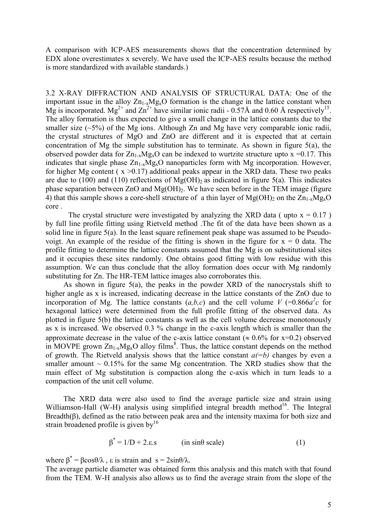A comparison with ICP-AES measurements shows that the concentration determined by EDX alone overestimates x severely. We have used the ICP-AES results because the method is more standardized with available standards.)

3.2 X-RAY DIFFRACTION AND ANALYSIS OF STRUCTURAL DATA: One of the important issue in the alloy  $Zn_{1-x}Mg_xO$  formation is the change in the lattice constant when Mg is incorporated. Mg<sup>2+</sup> and  $\text{Zn}^{2+}$  have similar ionic radii - 0.57Å and 0.60 Å respectively<sup>15</sup>. The alloy formation is thus expected to give a small change in the lattice constants due to the smaller size  $(\sim 5\%)$  of the Mg ions. Although Zn and Mg have very comparable ionic radii, the crystal structures of MgO and ZnO are different and it is expected that at certain concentration of Mg the simple substitution has to terminate. As shown in figure 5(a), the observed powder data for  $Zn_{1-x}Mg_xO$  can be indexed to wurtzite structure upto x =0.17. This indicates that single phase  $Zn_{1-x}Mg_xO$  nanoparticles form with Mg incorporation. However, for higher Mg content ( $x > 0.17$ ) additional peaks appear in the XRD data. These two peaks are due to (100) and (110) reflections of  $Mg(OH)$ <sub>2</sub> as indicated in figure 5(a). This indicates phase separation between  $ZnO$  and  $Mg(OH)_2$ . We have seen before in the TEM image (figure 4) that this sample shows a core-shell structure of a thin layer of  $Mg(OH)_{2}$  on the  $Zn_{1-x}Mg_{x}O$ core .

The crystal structure were investigated by analyzing the XRD data ( upto  $x = 0.17$  ) by full line profile fitting using Rietveld method .The fit of the data have been shown as a solid line in figure 5(a). In the least square refinement peak shape was assumed to be Pseudovoigt. An example of the residue of the fitting is shown in the figure for  $x = 0$  data. The profile fitting to determine the lattice constants assumed that the Mg is on substitutional sites and it occupies these sites randomly. One obtains good fitting with low residue with this assumption. We can thus conclude that the alloy formation does occur with Mg randomly substituting for Zn. The HR-TEM lattice images also corroborates this.

As shown in figure 5(a), the peaks in the powder XRD of the nanocrystals shift to higher angle as x is increased, indicating decrease in the lattice constants of the ZnO due to incorporation of Mg. The lattice constants  $(a,b,c)$  and the cell volume *V* (=0.866 $a^2c$  for hexagonal lattice) were determined from the full profile fitting of the observed data. As plotted in figure 5(b) the lattice constants as well as the cell volume decrease monotonously as x is increased. We observed 0.3 % change in the c-axis length which is smaller than the approximate decrease in the value of the c-axis lattice constant ( $\approx 0.6\%$  for x=0.2) observed in MOVPE grown  $Zn_{1-x}Mg_xO$  alloy films<sup>8</sup>. Thus, the lattice constant depends on the method of growth. The Rietveld analysis shows that the lattice constant  $a(=b)$  changes by even a smaller amount  $\sim 0.15\%$  for the same Mg concentration. The XRD studies show that the main effect of Mg substitution is compaction along the c-axis which in turn leads to a compaction of the unit cell volume.

The XRD data were also used to find the average particle size and strain using Williamson-Hall (W-H) analysis using simplified integral breadth method<sup>16</sup>. The Integral Breadth(β), defined as the ratio between peak area and the intensity maxima for both size and strain broadened profile is given by $16$ 

$$
\beta^* = 1/D + 2.\varepsilon \text{.s} \qquad \text{(in sin}\theta \text{ scale)} \tag{1}
$$

where  $\beta^* = \beta \cos{\theta}/\lambda$ ,  $\varepsilon$  is strain and  $s = 2\sin{\theta}/\lambda$ .

The average particle diameter was obtained form this analysis and this match with that found from the TEM. W-H analysis also allows us to find the average strain from the slope of the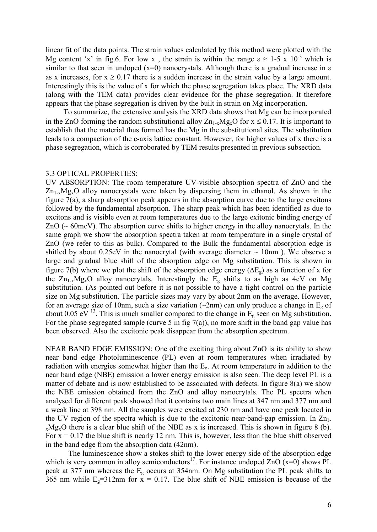linear fit of the data points. The strain values calculated by this method were plotted with the Mg content 'x' in fig.6. For low x, the strain is within the range  $\epsilon \approx 1-5 \times 10^{-3}$  which is similar to that seen in undoped ( $x=0$ ) nanocrystals. Although there is a gradual increase in  $\varepsilon$ as x increases, for  $x \ge 0.17$  there is a sudden increase in the strain value by a large amount. Interestingly this is the value of x for which the phase segregation takes place. The XRD data (along with the TEM data) provides clear evidence for the phase segregation. It therefore appears that the phase segregation is driven by the built in strain on Mg incorporation.

To summarize, the extensive analysis the XRD data shows that Mg can be incorporated in the ZnO forming the random substitutional alloy  $Zn_{1-x}Mg_{x}O$  for  $x \le 0.17$ . It is important to establish that the material thus formed has the Mg in the substitutional sites. The substitution leads to a compaction of the c-axis lattice constant. However, for higher values of x there is a phase segregation, which is corroborated by TEM results presented in previous subsection.

#### 3.3 OPTICAL PROPERTIES:

UV ABSORPTION: The room temperature UV-visible absorption spectra of ZnO and the  $Zn_{1-x}Mg_xO$  alloy nanocrystals were taken by dispersing them in ethanol. As shown in the figure 7(a), a sharp absorption peak appears in the absorption curve due to the large excitons followed by the fundamental absorption. The sharp peak which has been identified as due to excitons and is visible even at room temperatures due to the large exitonic binding energy of  $ZnO$  ( $\sim$  60meV). The absorption curve shifts to higher energy in the alloy nanocrytals. In the same graph we show the absorption spectra taken at room temperature in a single crystal of ZnO (we refer to this as bulk). Compared to the Bulk the fundamental absorption edge is shifted by about  $0.25$ eV in the nanocrytal (with average diameter  $\sim 10$ nm). We observe a large and gradual blue shift of the absorption edge on Mg substitution. This is shown in figure 7(b) where we plot the shift of the absorption edge energy ( $\Delta E_g$ ) as a function of x for the  $Zn_{1-x}Mg_xO$  alloy nanocrytals. Interestingly the  $E_g$  shifts to as high as 4eV on Mg substitution. (As pointed out before it is not possible to have a tight control on the particle size on Mg substitution. The particle sizes may vary by about 2nm on the average. However, for an average size of 10nm, such a size variation ( $\sim$ 2nm) can only produce a change in E<sub>g</sub> of about 0.05 eV  $^{13}$ . This is much smaller compared to the change in  $\overline{E_g}$  seen on Mg substitution. For the phase segregated sample (curve 5 in fig  $7(a)$ ), no more shift in the band gap value has been observed. Also the excitonic peak disappear from the absorption spectrum.

NEAR BAND EDGE EMISSION: One of the exciting thing about ZnO is its ability to show near band edge Photoluminescence (PL) even at room temperatures when irradiated by radiation with energies somewhat higher than the Eg. At room temperature in addition to the near band edge (NBE) emission a lower energy emission is also seen. The deep level PL is a matter of debate and is now established to be associated with defects. In figure 8(a) we show the NBE emission obtained from the ZnO and alloy nanocrytals. The PL spectra when analysed for different peak showed that it contains two main lines at 347 nm and 377 nm and a weak line at 398 nm. All the samples were excited at 230 nm and have one peak located in the UV region of the spectra which is due to the excitonic near-band-gap emission. In  $Zn_1$ .  $x \text{Mg}_x$ O there is a clear blue shift of the NBE as x is increased. This is shown in figure 8 (b). For  $x = 0.17$  the blue shift is nearly 12 nm. This is, however, less than the blue shift observed in the band edge from the absorption data (42nm).

The luminescence show a stokes shift to the lower energy side of the absorption edge which is very common in alloy semiconductors<sup>17</sup>. For instance undoped ZnO  $(x=0)$  shows PL peak at 377 nm whereas the Eg occurs at 354nm. On Mg substitution the PL peak shifts to 365 nm while  $E_g = 312$ nm for x = 0.17. The blue shift of NBE emission is because of the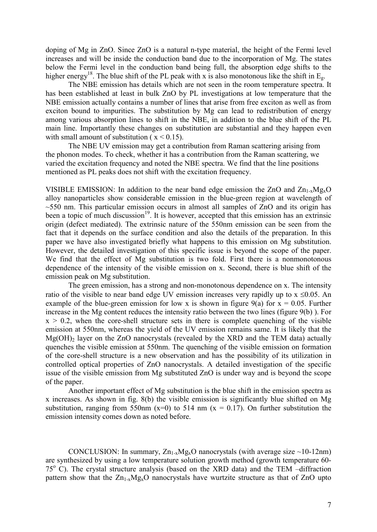doping of Mg in ZnO. Since ZnO is a natural n-type material, the height of the Fermi level increases and will be inside the conduction band due to the incorporation of Mg. The states below the Fermi level in the conduction band being full, the absorption edge shifts to the higher energy<sup>18</sup>. The blue shift of the PL peak with x is also monotonous like the shift in  $E_g$ .

The NBE emission has details which are not seen in the room temperature spectra. It has been established at least in bulk ZnO by PL investigations at low temperature that the NBE emission actually contains a number of lines that arise from free exciton as well as from exciton bound to impurities. The substitution by Mg can lead to redistribution of energy among various absorption lines to shift in the NBE, in addition to the blue shift of the PL main line. Importantly these changes on substitution are substantial and they happen even with small amount of substitution ( $x \le 0.15$ ).

 The NBE UV emission may get a contribution from Raman scattering arising from the phonon modes. To check, whether it has a contribution from the Raman scattering, we varied the excitation frequency and noted the NBE spectra. We find that the line positions mentioned as PL peaks does not shift with the excitation frequency.

VISIBLE EMISSION: In addition to the near band edge emission the  $ZnO$  and  $Zn_{1-x}Mg_xO$ alloy nanoparticles show considerable emission in the blue-green region at wavelength of  $\sim$ 550 nm. This particular emission occurs in almost all samples of ZnO and its origin has been a topic of much discussion<sup>19</sup>. It is however, accepted that this emission has an extrinsic origin (defect mediated). The extrinsic nature of the 550nm emission can be seen from the fact that it depends on the surface condition and also the details of the preparation. In this paper we have also investigated briefly what happens to this emission on Mg substitution. However, the detailed investigation of this specific issue is beyond the scope of the paper. We find that the effect of Mg substitution is two fold. First there is a nonmonotonous dependence of the intensity of the visible emission on x. Second, there is blue shift of the emission peak on Mg substitution.

The green emission, has a strong and non-monotonous dependence on x. The intensity ratio of the visible to near band edge UV emission increases very rapidly up to  $x \le 0.05$ . An example of the blue-green emission for low x is shown in figure 9(a) for  $x = 0.05$ . Further increase in the Mg content reduces the intensity ratio between the two lines (figure 9(b) ). For  $x > 0.2$ , when the core-shell structure sets in there is complete quenching of the visible emission at 550nm, whereas the yield of the UV emission remains same. It is likely that the  $Mg(OH)$ <sub>2</sub> layer on the ZnO nanocrystals (revealed by the XRD and the TEM data) actually quenches the visible emission at 550nm. The quenching of the visible emission on formation of the core-shell structure is a new observation and has the possibility of its utilization in controlled optical properties of ZnO nanocrystals. A detailed investigation of the specific issue of the visible emission from Mg substituted ZnO is under way and is beyond the scope of the paper.

Another important effect of Mg substitution is the blue shift in the emission spectra as x increases. As shown in fig. 8(b) the visible emission is significantly blue shifted on Mg substitution, ranging from 550nm ( $x=0$ ) to 514 nm ( $x = 0.17$ ). On further substitution the emission intensity comes down as noted before.

CONCLUSION: In summary,  $Zn_{1-x}Mg_xO$  nanocrystals (with average size ~10-12nm) are synthesized by using a low temperature solution growth method (growth temperature 60- 75<sup>o</sup> C). The crystal structure analysis (based on the XRD data) and the TEM -diffraction pattern show that the  $Zn_{1-x}Mg_xO$  nanocrystals have wurtzite structure as that of  $ZnO$  upto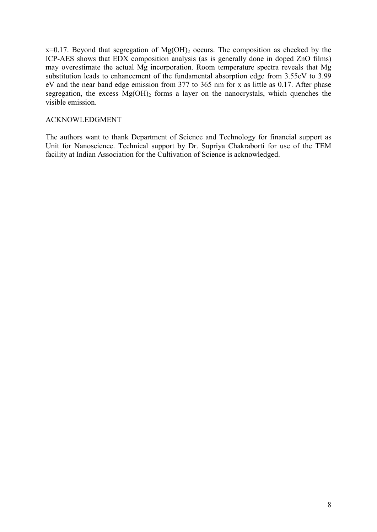$x=0.17$ . Beyond that segregation of  $Mg(OH)_2$  occurs. The composition as checked by the ICP-AES shows that EDX composition analysis (as is generally done in doped ZnO films) may overestimate the actual Mg incorporation. Room temperature spectra reveals that Mg substitution leads to enhancement of the fundamental absorption edge from 3.55eV to 3.99 eV and the near band edge emission from 377 to 365 nm for x as little as 0.17. After phase segregation, the excess  $Mg(OH)$ <sub>2</sub> forms a layer on the nanocrystals, which quenches the visible emission.

## ACKNOWLEDGMENT

The authors want to thank Department of Science and Technology for financial support as Unit for Nanoscience. Technical support by Dr. Supriya Chakraborti for use of the TEM facility at Indian Association for the Cultivation of Science is acknowledged.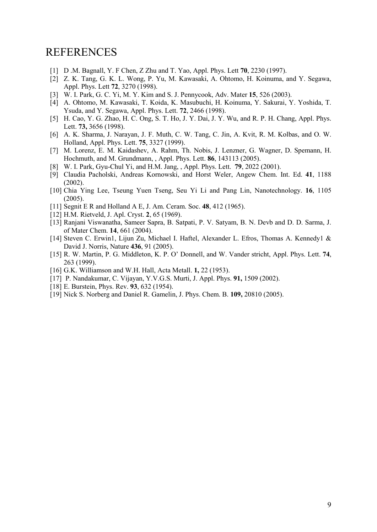# REFERENCES

- [1] D .M. Bagnall, Y. F Chen, Z Zhu and T. Yao, Appl. Phys. Lett **70**, 2230 (1997).
- [2] Z. K. Tang, G. K. L. Wong, P. Yu, M. Kawasaki, A. Ohtomo, H. Koinuma, and Y. Segawa, Appl. Phys. Lett **72**, 3270 (1998).
- [3] W. I. Park, G. C. Yi, M. Y. Kim and S. J. Pennycook, Adv. Mater **15**, 526 (2003).
- [4] A. Ohtomo, M. Kawasaki, T. Koida, K. Masubuchi, H. Koinuma, Y. Sakurai, Y. Yoshida, T. Ysuda, and Y. Segawa, Appl. Phys. Lett. **72**, 2466 (1998).
- [5] H. Cao, Y. G. Zhao, H. C. Ong, S. T. Ho, J. Y. Dai, J. Y. Wu, and R. P. H. Chang, Appl. Phys. Lett. **73,** 3656 (1998).
- [6] A. K. Sharma, J. Narayan, J. F. Muth, C. W. Tang, C. Jin, A. Kvit, R. M. Kolbas, and O. W. Holland, Appl. Phys. Lett. **75**, 3327 (1999).
- [7] M. Lorenz, E. M. Kaidashev, A. Rahm, Th. Nobis, J. Lenzner, G. Wagner, D. Spemann, H. Hochmuth, and M. Grundmann, , Appl. Phys. Lett. **86**, 143113 (2005).
- [8] W. I. Park, Gyu-Chul Yi, and H.M. Jang, , Appl. Phys. Lett. **79**, 2022 (2001).
- [9] Claudia Pacholski, Andreas Kornowski, and Horst Weler, Angew Chem. Int. Ed. **41**, 1188 (2002).
- [10] Chia Ying Lee, Tseung Yuen Tseng, Seu Yi Li and Pang Lin, Nanotechnology. **16**, 1105 (2005).
- [11] Segnit E R and Holland A E, J. Am. Ceram. Soc. **48**, 412 (1965).
- [12] H.M. Rietveld, J. Apl. Cryst. **2**, 65 (1969).
- [13] Ranjani Viswanatha, Sameer Sapra, B. Satpati, P. V. Satyam, B. N. Devb and D. D. Sarma, J. of Mater Chem. **14**, 661 (2004).
- [14] Steven C. Erwin1, Lijun Zu, Michael I. Haftel, Alexander L. Efros, Thomas A. Kennedy1 & David J. Norris, Nature **436**, 91 (2005).
- [15] R. W. Martin, P. G. Middleton, K. P. O' Donnell, and W. Vander stricht, Appl. Phys. Lett. **74**, 263 (1999).
- [16] G.K. Williamson and W.H. Hall, Acta Metall. **1,** 22 (1953).
- [17] P. Nandakumar, C. Vijayan, Y.V.G.S. Murti, J. Appl. Phys. **91,** 1509 (2002).
- [18] E. Burstein, Phys. Rev. **93**, 632 (1954).
- [19] Nick S. Norberg and Daniel R. Gamelin, J. Phys. Chem. B. **109,** 20810 (2005).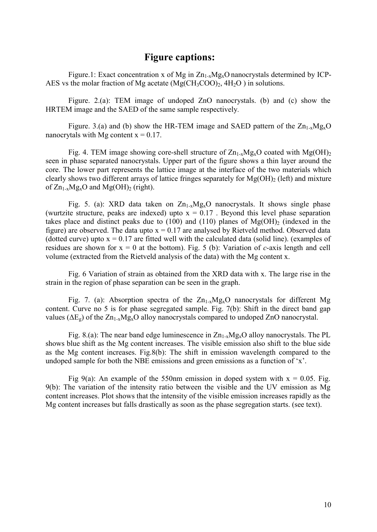# **Figure captions:**

Figure.1: Exact concentration x of Mg in  $Zn_{1-x}Mg_xO$  nanocrystals determined by ICP-AES vs the molar fraction of Mg acetate  $(Mg(CH_3COO)_2, 4H_2O)$  in solutions.

Figure. 2.(a): TEM image of undoped ZnO nanocrystals. (b) and (c) show the HRTEM image and the SAED of the same sample respectively.

Figure. 3.(a) and (b) show the HR-TEM image and SAED pattern of the  $Zn_{1-x}Mg_xO$ nanocrytals with Mg content  $x = 0.17$ .

Fig. 4. TEM image showing core-shell structure of  $Zn_{1-x}Mg_xO$  coated with  $Mg(OH)_2$ seen in phase separated nanocrystals. Upper part of the figure shows a thin layer around the core. The lower part represents the lattice image at the interface of the two materials which clearly shows two different arrays of lattice fringes separately for  $Mg(OH)$ <sub>2</sub> (left) and mixture of  $Zn_{1-x}Mg_xO$  and  $Mg(OH)_2$  (right).

Fig. 5. (a): XRD data taken on  $Zn_{1-x}Mg_xO$  nanocrystals. It shows single phase (wurtzite structure, peaks are indexed) upto  $x = 0.17$ . Beyond this level phase separation takes place and distinct peaks due to (100) and (110) planes of  $Mg(OH)$ <sub>2</sub> (indexed in the figure) are observed. The data upto  $x = 0.17$  are analysed by Rietveld method. Observed data (dotted curve) upto  $x = 0.17$  are fitted well with the calculated data (solid line). (examples of residues are shown for  $x = 0$  at the bottom). Fig. 5 (b): Variation of *c*-axis length and cell volume (extracted from the Rietveld analysis of the data) with the Mg content x.

Fig. 6 Variation of strain as obtained from the XRD data with x. The large rise in the strain in the region of phase separation can be seen in the graph.

Fig. 7. (a): Absorption spectra of the  $Zn_{1-x}Mg_{x}O$  nanocrystals for different Mg content. Curve no 5 is for phase segregated sample. Fig. 7(b): Shift in the direct band gap values ( $\Delta E_g$ ) of the  $Zn_{1-x}Mg_xO$  alloy nanocrystals compared to undoped ZnO nanocrystal.

Fig. 8.(a): The near band edge luminescence in  $Zn_{1-x}Mg_xO$  alloy nanocrystals. The PL shows blue shift as the Mg content increases. The visible emission also shift to the blue side as the Mg content increases. Fig.8(b): The shift in emission wavelength compared to the undoped sample for both the NBE emissions and green emissions as a function of 'x'.

Fig 9(a): An example of the 550nm emission in doped system with  $x = 0.05$ . Fig. 9(b): The variation of the intensity ratio between the visible and the UV emission as Mg content increases. Plot shows that the intensity of the visible emission increases rapidly as the Mg content increases but falls drastically as soon as the phase segregation starts. (see text).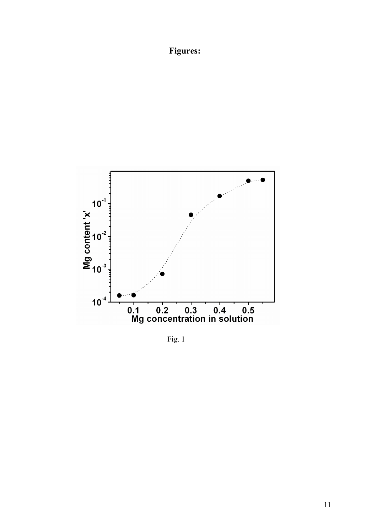# **Figures:**



Fig. 1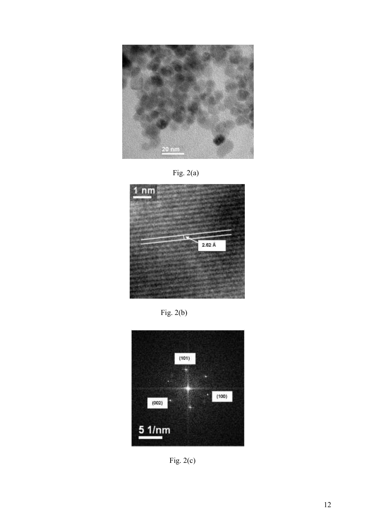

Fig. 2(a)



Fig. 2(b)



Fig.  $2(c)$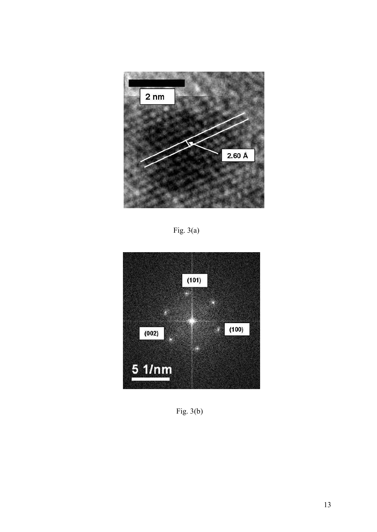

Fig. 3(a)



Fig. 3(b)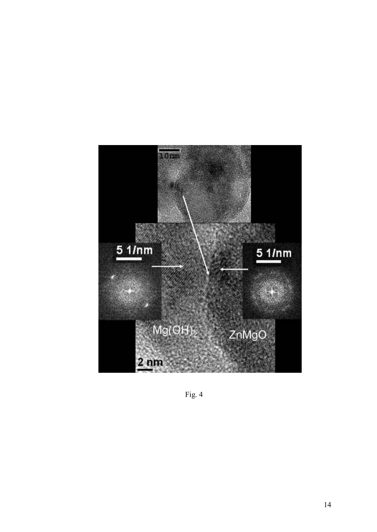

Fig. 4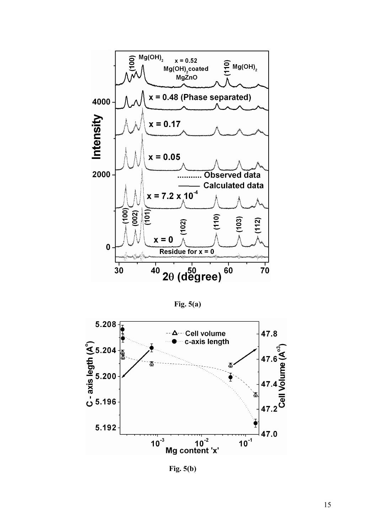

**Fig. 5(a)** 



 **Fig. 5(b)**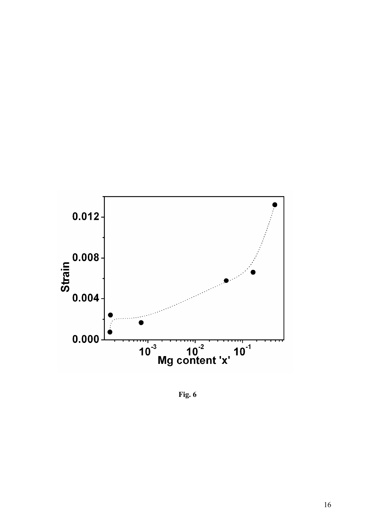

 **Fig. 6**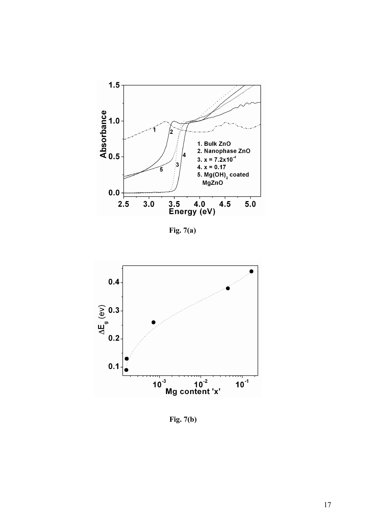

 **Fig. 7(a)** 



 **Fig. 7(b)**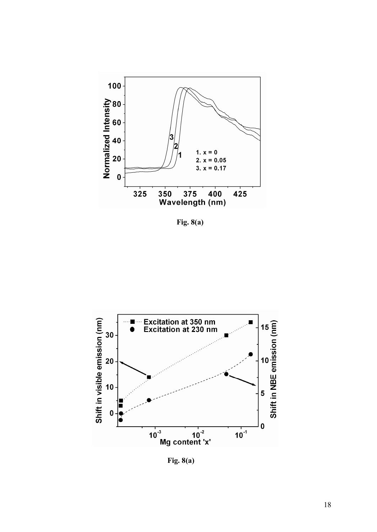

**Fig. 8(a)**



 **Fig. 8(a)**